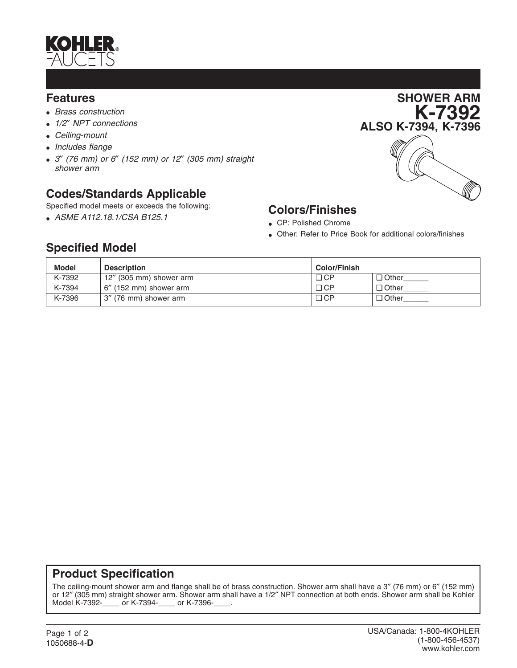

#### **Features**

- *Brass construction*
- *1/2*″ *NPT connections*
- *Ceiling-mount*
- *Includes flange*
- *3*″ *(76 mm) or 6*″ *(152 mm) or 12*″ *(305 mm) straight shower arm*

## **Codes/Standards Applicable**

Specified model meets or exceeds the following:

• *ASME A112.18.1/CSA B125.1*



# **Colors/Finishes**

- CP: Polished Chrome
- Other: Refer to Price Book for additional colors/finishes

## **Specified Model**

| <b>Model</b> | <b>Description</b>      | <b>Color/Finish</b> |              |
|--------------|-------------------------|---------------------|--------------|
| K-7392       | 12" (305 mm) shower arm | ם CP                | $\Box$ Other |
| K-7394       | 6" (152 mm) shower arm  | □ CP                | $\Box$ Other |
| K-7396       | 3" (76 mm) shower arm   | □ CP                | $\Box$ Other |

### **Product Specification**

The ceiling-mount shower arm and flange shall be of brass construction. Shower arm shall have a 3″ (76 mm) or 6″ (152 mm) or 12" (305 mm) straight shower arm. Shower arm shall have a 1/2" NPT connection at both ends. Shower arm shall be Kohler Model K-7392-<br>Model K-7392-\_\_\_\_\_ or K-7394-\_\_\_\_\_ or K-7396-\_\_\_\_. \_\_\_ or K-7394-\_\_\_\_\_ or K-7396-\_